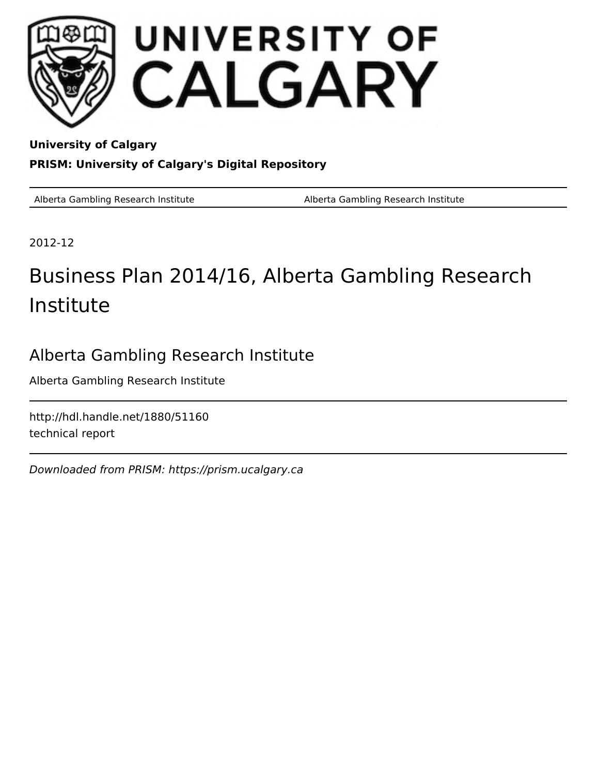

**University of Calgary PRISM: University of Calgary's Digital Repository**

Alberta Gambling Research Institute **Alberta Gambling Research Institute** Alberta Gambling Research Institute

2012-12

# Business Plan 2014/16, Alberta Gambling Research Institute

# Alberta Gambling Research Institute

Alberta Gambling Research Institute

http://hdl.handle.net/1880/51160 technical report

Downloaded from PRISM: https://prism.ucalgary.ca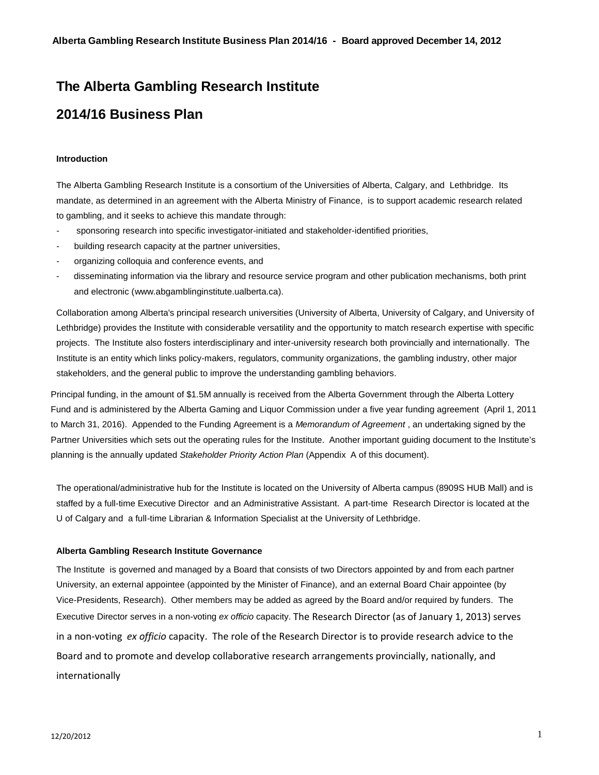### **The Alberta Gambling Research Institute**

## **2014/16 Business Plan**

#### **Introduction**

The Alberta Gambling Research Institute is a consortium of the Universities of Alberta, Calgary, and Lethbridge. Its mandate, as determined in an agreement with the Alberta Ministry of Finance, is to support academic research related to gambling, and it seeks to achieve this mandate through:

- sponsoring research into specific investigator-initiated and stakeholder-identified priorities,
- building research capacity at the partner universities,
- organizing colloquia and conference events, and
- disseminating information via the library and resource service program and other publication mechanisms, both print and electronic (www.abgamblinginstitute.ualberta.ca).

Collaboration among Alberta's principal research universities (University of Alberta, University of Calgary, and University of Lethbridge) provides the Institute with considerable versatility and the opportunity to match research expertise with specific projects. The Institute also fosters interdisciplinary and inter-university research both provincially and internationally. The Institute is an entity which links policy-makers, regulators, community organizations, the gambling industry, other major stakeholders, and the general public to improve the understanding gambling behaviors.

Principal funding, in the amount of \$1.5M annually is received from the Alberta Government through the Alberta Lottery Fund and is administered by the Alberta Gaming and Liquor Commission under a five year funding agreement (April 1, 2011 to March 31, 2016). Appended to the Funding Agreement is a *Memorandum of Agreement* , an undertaking signed by the Partner Universities which sets out the operating rules for the Institute. Another important guiding document to the Institute's planning is the annually updated *Stakeholder Priority Action Plan* (Appendix A of this document).

The operational/administrative hub for the Institute is located on the University of Alberta campus (8909S HUB Mall) and is staffed by a full-time Executive Director and an Administrative Assistant. A part-time Research Director is located at the U of Calgary and a full-time Librarian & Information Specialist at the University of Lethbridge.

#### **Alberta Gambling Research Institute Governance**

The Institute is governed and managed by a Board that consists of two Directors appointed by and from each partner University, an external appointee (appointed by the Minister of Finance), and an external Board Chair appointee (by Vice-Presidents, Research). Other members may be added as agreed by the Board and/or required by funders. The Executive Director serves in a non-voting *ex officio* capacity. The Research Director (as of January 1, 2013) serves in a non-voting *ex officio* capacity. The role of the Research Director is to provide research advice to the Board and to promote and develop collaborative research arrangements provincially, nationally, and internationally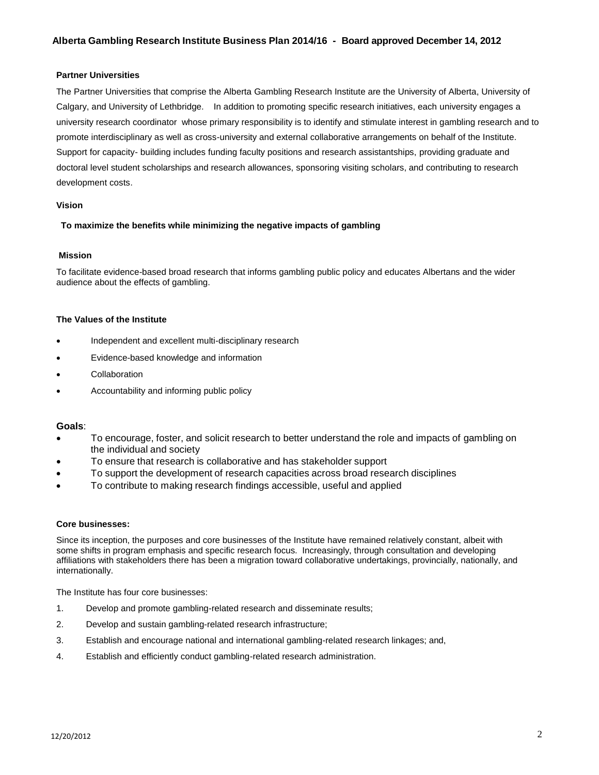#### **Partner Universities**

The Partner Universities that comprise the Alberta Gambling Research Institute are the University of Alberta, University of Calgary, and University of Lethbridge. In addition to promoting specific research initiatives, each university engages a university research coordinator whose primary responsibility is to identify and stimulate interest in gambling research and to promote interdisciplinary as well as cross-university and external collaborative arrangements on behalf of the Institute. Support for capacity- building includes funding faculty positions and research assistantships, providing graduate and doctoral level student scholarships and research allowances, sponsoring visiting scholars, and contributing to research development costs.

#### **Vision**

#### **To maximize the benefits while minimizing the negative impacts of gambling**

#### **Mission**

To facilitate evidence-based broad research that informs gambling public policy and educates Albertans and the wider audience about the effects of gambling.

#### **The Values of the Institute**

- Independent and excellent multi-disciplinary research
- Evidence-based knowledge and information
- **Collaboration**
- Accountability and informing public policy

#### **Goals**:

- To encourage, foster, and solicit research to better understand the role and impacts of gambling on the individual and society
- To ensure that research is collaborative and has stakeholder support
- To support the development of research capacities across broad research disciplines
- To contribute to making research findings accessible, useful and applied

#### **Core businesses:**

Since its inception, the purposes and core businesses of the Institute have remained relatively constant, albeit with some shifts in program emphasis and specific research focus. Increasingly, through consultation and developing affiliations with stakeholders there has been a migration toward collaborative undertakings, provincially, nationally, and internationally.

The Institute has four core businesses:

- 1. Develop and promote gambling-related research and disseminate results;
- 2. Develop and sustain gambling-related research infrastructure;
- 3. Establish and encourage national and international gambling-related research linkages; and,
- 4. Establish and efficiently conduct gambling-related research administration.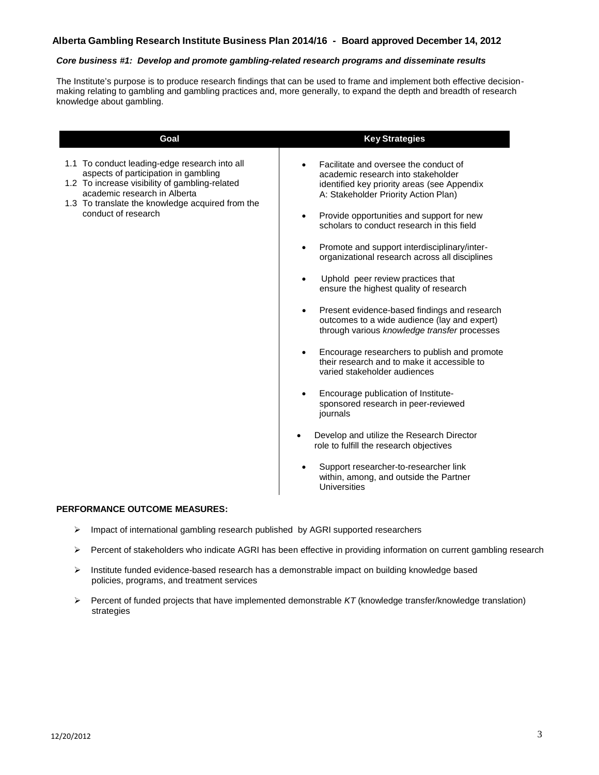#### *Core business #1: Develop and promote gambling-related research programs and disseminate results*

The Institute's purpose is to produce research findings that can be used to frame and implement both effective decisionmaking relating to gambling and gambling practices and, more generally, to expand the depth and breadth of research knowledge about gambling.

| Goal                                                                                                                                                                                                                                               | <b>Key Strategies</b>                                                                                                                                                                                                                                                                                                                                                                                                                                                                                                                                                                                                                                                                                                                                                                                                                                                                                                                                                                                                                                                                    |
|----------------------------------------------------------------------------------------------------------------------------------------------------------------------------------------------------------------------------------------------------|------------------------------------------------------------------------------------------------------------------------------------------------------------------------------------------------------------------------------------------------------------------------------------------------------------------------------------------------------------------------------------------------------------------------------------------------------------------------------------------------------------------------------------------------------------------------------------------------------------------------------------------------------------------------------------------------------------------------------------------------------------------------------------------------------------------------------------------------------------------------------------------------------------------------------------------------------------------------------------------------------------------------------------------------------------------------------------------|
| 1.1 To conduct leading-edge research into all<br>aspects of participation in gambling<br>1.2 To increase visibility of gambling-related<br>academic research in Alberta<br>1.3 To translate the knowledge acquired from the<br>conduct of research | Facilitate and oversee the conduct of<br>academic research into stakeholder<br>identified key priority areas (see Appendix<br>A: Stakeholder Priority Action Plan)<br>Provide opportunities and support for new<br>$\bullet$<br>scholars to conduct research in this field<br>Promote and support interdisciplinary/inter-<br>$\bullet$<br>organizational research across all disciplines<br>Uphold peer review practices that<br>$\bullet$<br>ensure the highest quality of research<br>Present evidence-based findings and research<br>$\bullet$<br>outcomes to a wide audience (lay and expert)<br>through various knowledge transfer processes<br>Encourage researchers to publish and promote<br>their research and to make it accessible to<br>varied stakeholder audiences<br>Encourage publication of Institute-<br>٠<br>sponsored research in peer-reviewed<br>journals<br>Develop and utilize the Research Director<br>$\bullet$<br>role to fulfill the research objectives<br>Support researcher-to-researcher link<br>within, among, and outside the Partner<br>Universities |

- $\triangleright$  Impact of international gambling research published by AGRI supported researchers
- $\triangleright$  Percent of stakeholders who indicate AGRI has been effective in providing information on current gambling research
- $\triangleright$  Institute funded evidence-based research has a demonstrable impact on building knowledge based policies, programs, and treatment services
- Percent of funded projects that have implemented demonstrable *KT* (knowledge transfer/knowledge translation) strategies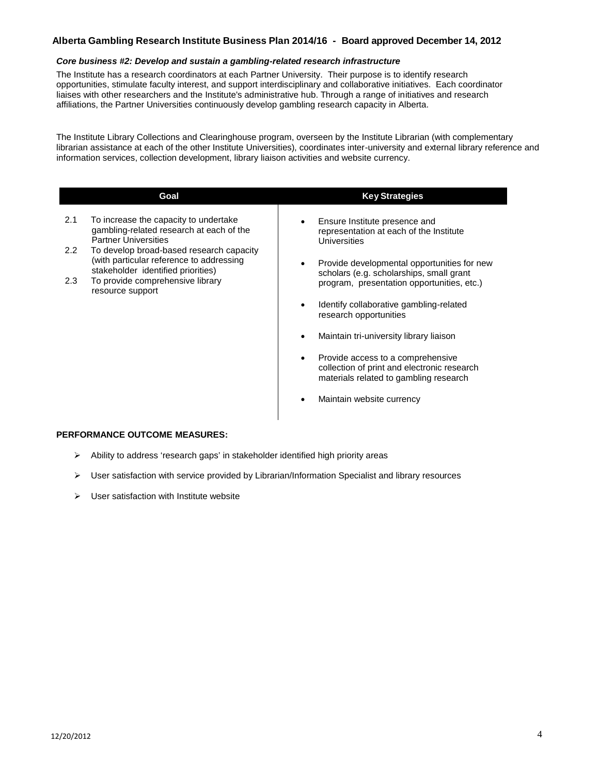#### *Core business #2: Develop and sustain a gambling-related research infrastructure*

The Institute has a research coordinators at each Partner University. Their purpose is to identify research opportunities, stimulate faculty interest, and support interdisciplinary and collaborative initiatives. Each coordinator liaises with other researchers and the Institute's administrative hub. Through a range of initiatives and research affiliations, the Partner Universities continuously develop gambling research capacity in Alberta.

The Institute Library Collections and Clearinghouse program, overseen by the Institute Librarian (with complementary librarian assistance at each of the other Institute Universities), coordinates inter-university and external library reference and information services, collection development, library liaison activities and website currency.

|               | Goal                                                                                                                       | <b>Key Strategies</b>                                                                                                      |
|---------------|----------------------------------------------------------------------------------------------------------------------------|----------------------------------------------------------------------------------------------------------------------------|
| 2.1           | To increase the capacity to undertake<br>gambling-related research at each of the<br><b>Partner Universities</b>           | Ensure Institute presence and<br>representation at each of the Institute<br>Universities                                   |
| $2.2^{\circ}$ | To develop broad-based research capacity<br>(with particular reference to addressing<br>stakeholder identified priorities) | Provide developmental opportunities for new<br>scholars (e.g. scholarships, small grant                                    |
| 2.3           | To provide comprehensive library<br>resource support                                                                       | program, presentation opportunities, etc.)                                                                                 |
|               |                                                                                                                            | Identify collaborative gambling-related<br>research opportunities                                                          |
|               |                                                                                                                            | Maintain tri-university library liaison                                                                                    |
|               |                                                                                                                            | Provide access to a comprehensive<br>collection of print and electronic research<br>materials related to gambling research |
|               |                                                                                                                            | Maintain website currency                                                                                                  |

- $\triangleright$  Ability to address 'research gaps' in stakeholder identified high priority areas
- $\triangleright$  User satisfaction with service provided by Librarian/Information Specialist and library resources
- $\triangleright$  User satisfaction with Institute website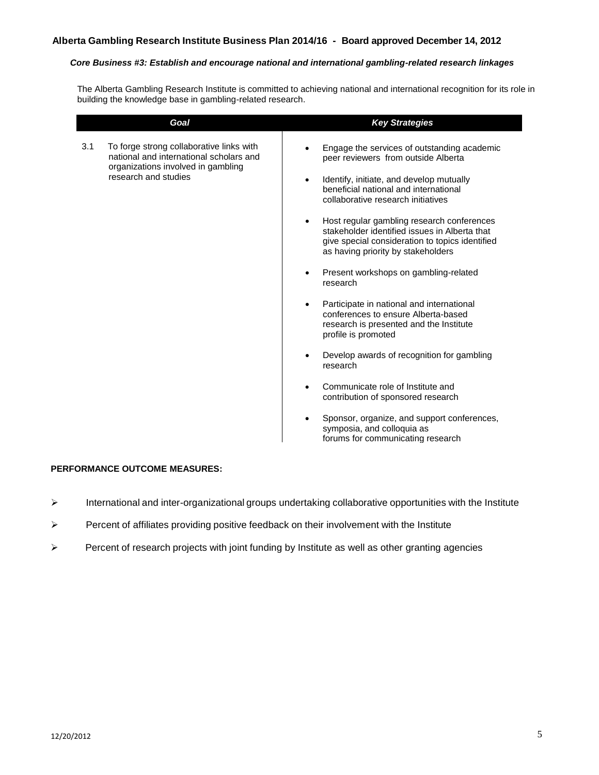#### *Core Business #3: Establish and encourage national and international gambling-related research linkages*

The Alberta Gambling Research Institute is committed to achieving national and international recognition for its role in building the knowledge base in gambling-related research.

|     | Goal                                                                                                                                              | <b>Key Strategies</b>                                                                                                                                                                                                                                                                                                                                                                                                                                                                                                                                                                                                                                                                                                                                                                                                                                                                             |  |
|-----|---------------------------------------------------------------------------------------------------------------------------------------------------|---------------------------------------------------------------------------------------------------------------------------------------------------------------------------------------------------------------------------------------------------------------------------------------------------------------------------------------------------------------------------------------------------------------------------------------------------------------------------------------------------------------------------------------------------------------------------------------------------------------------------------------------------------------------------------------------------------------------------------------------------------------------------------------------------------------------------------------------------------------------------------------------------|--|
| 3.1 | To forge strong collaborative links with<br>national and international scholars and<br>organizations involved in gambling<br>research and studies | Engage the services of outstanding academic<br>peer reviewers from outside Alberta<br>Identify, initiate, and develop mutually<br>$\bullet$<br>beneficial national and international<br>collaborative research initiatives<br>Host regular gambling research conferences<br>stakeholder identified issues in Alberta that<br>give special consideration to topics identified<br>as having priority by stakeholders<br>Present workshops on gambling-related<br>research<br>Participate in national and international<br>$\bullet$<br>conferences to ensure Alberta-based<br>research is presented and the Institute<br>profile is promoted<br>Develop awards of recognition for gambling<br>research<br>Communicate role of Institute and<br>contribution of sponsored research<br>Sponsor, organize, and support conferences,<br>symposia, and colloquia as<br>forums for communicating research |  |

- International and inter-organizational groups undertaking collaborative opportunities with the Institute
- $\triangleright$  Percent of affiliates providing positive feedback on their involvement with the Institute
- $\triangleright$  Percent of research projects with joint funding by Institute as well as other granting agencies